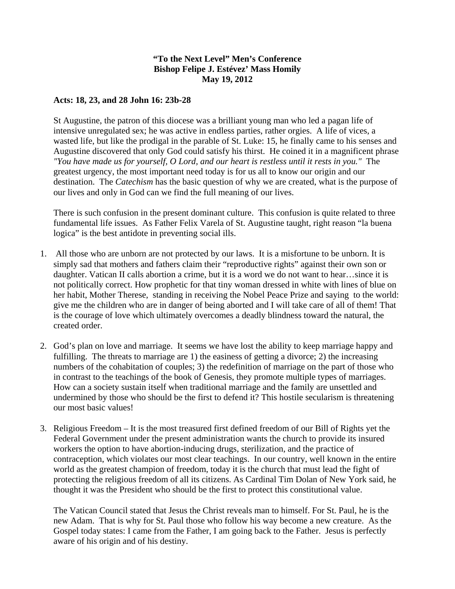## **"To the Next Level" Men's Conference Bishop Felipe J. Estévez' Mass Homily May 19, 2012**

## **Acts: 18, 23, and 28 John 16: 23b-28**

St Augustine, the patron of this diocese was a brilliant young man who led a pagan life of intensive unregulated sex; he was active in endless parties, rather orgies. A life of vices, a wasted life, but like the prodigal in the parable of St. Luke: 15, he finally came to his senses and Augustine discovered that only God could satisfy his thirst. He coined it in a magnificent phrase *"You have made us for yourself, O Lord, and our heart is restless until it rests in you."* The greatest urgency, the most important need today is for us all to know our origin and our destination. The *Catechism* has the basic question of why we are created, what is the purpose of our lives and only in God can we find the full meaning of our lives.

There is such confusion in the present dominant culture. This confusion is quite related to three fundamental life issues. As Father Felix Varela of St. Augustine taught, right reason "la buena logica" is the best antidote in preventing social ills.

- 1. All those who are unborn are not protected by our laws. It is a misfortune to be unborn. It is simply sad that mothers and fathers claim their "reproductive rights" against their own son or daughter. Vatican II calls abortion a crime, but it is a word we do not want to hear…since it is not politically correct. How prophetic for that tiny woman dressed in white with lines of blue on her habit, Mother Therese, standing in receiving the Nobel Peace Prize and saying to the world: give me the children who are in danger of being aborted and I will take care of all of them! That is the courage of love which ultimately overcomes a deadly blindness toward the natural, the created order.
- 2. God's plan on love and marriage. It seems we have lost the ability to keep marriage happy and fulfilling. The threats to marriage are 1) the easiness of getting a divorce; 2) the increasing numbers of the cohabitation of couples; 3) the redefinition of marriage on the part of those who in contrast to the teachings of the book of Genesis, they promote multiple types of marriages. How can a society sustain itself when traditional marriage and the family are unsettled and undermined by those who should be the first to defend it? This hostile secularism is threatening our most basic values!
- 3. Religious Freedom It is the most treasured first defined freedom of our Bill of Rights yet the Federal Government under the present administration wants the church to provide its insured workers the option to have abortion-inducing drugs, sterilization, and the practice of contraception, which violates our most clear teachings. In our country, well known in the entire world as the greatest champion of freedom, today it is the church that must lead the fight of protecting the religious freedom of all its citizens. As Cardinal Tim Dolan of New York said, he thought it was the President who should be the first to protect this constitutional value.

The Vatican Council stated that Jesus the Christ reveals man to himself. For St. Paul, he is the new Adam. That is why for St. Paul those who follow his way become a new creature. As the Gospel today states: I came from the Father, I am going back to the Father. Jesus is perfectly aware of his origin and of his destiny.